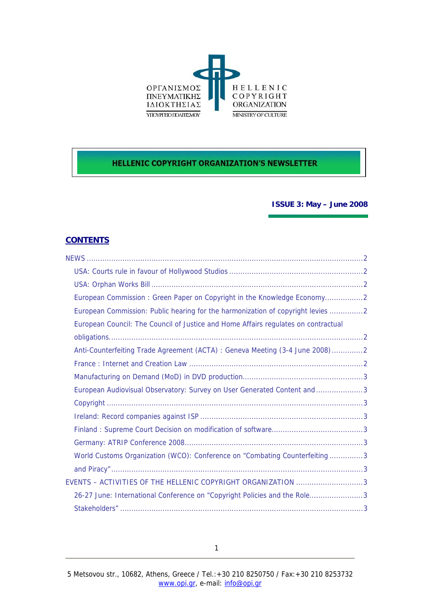

# **HELLENIC COPYRIGHT ORGANIZATION'S NEWSLETTER**

**ISSUE 3: May – June 2008** 

# **CONTENTS**

| European Commission: Green Paper on Copyright in the Knowledge Economy2            |
|------------------------------------------------------------------------------------|
| European Commission: Public hearing for the harmonization of copyright levies 2    |
| European Council: The Council of Justice and Home Affairs regulates on contractual |
|                                                                                    |
| Anti-Counterfeiting Trade Agreement (ACTA) : Geneva Meeting (3-4 June 2008)2       |
|                                                                                    |
|                                                                                    |
| European Audiovisual Observatory: Survey on User Generated Content and 3           |
|                                                                                    |
|                                                                                    |
|                                                                                    |
|                                                                                    |
| World Customs Organization (WCO): Conference on "Combating Counterfeiting3         |
|                                                                                    |
| EVENTS - ACTIVITIES OF THE HELLENIC COPYRIGHT ORGANIZATION 3                       |
| 26-27 June: International Conference on "Copyright Policies and the Role3          |
|                                                                                    |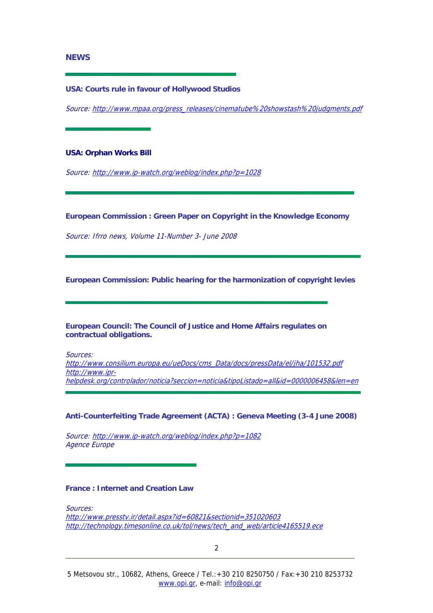### <span id="page-1-0"></span>**NEWS**

#### **USA: Courts rule in favour of Hollywood Studios**

Source: [http://www.mpaa.org/press\\_releases/cinematube%20showstash%20judgments.pdf](http://www.mpaa.org/press_releases/cinematube%20showstash%20judgments.pdf)

**USA: Orphan Works Bill** 

Source: <http://www.ip-watch.org/weblog/index.php?p=1028>

**European Commission : Green Paper on Copyright in the Knowledge Economy** 

Source: Ifrro news, Volume 11-Number 3- June 2008

**European Commission: Public hearing for the harmonization of copyright levies** 

**European Council: The Council of Justice and Home Affairs regulates on contractual obligations.** 

Sources:

[http://www.consilium.europa.eu/ueDocs/cms\\_Data/docs/pressData/el/jha/101532.pdf](http://www.consilium.europa.eu/ueDocs/cms_Data/docs/pressData/el/jha/101532.pdf) [http://www.ipr](http://www.ipr-helpdesk.org/controlador/noticia?seccion=noticia&tipoListado=all&id=0000006458&len=en)[helpdesk.org/controlador/noticia?seccion=noticia&tipoListado=all&id=0000006458&len=en](http://www.ipr-helpdesk.org/controlador/noticia?seccion=noticia&tipoListado=all&id=0000006458&len=en)

**Anti-Counterfeiting Trade Agreement (ACTA) : Geneva Meeting (3-4 June 2008)** 

Source: <http://www.ip-watch.org/weblog/index.php?p=1082> Agence Europe

# **France : Internet and Creation Law**

Sources: [http://www.presstv.ir/detail.aspx?id=60821&sectionid=351020603](http://www.presstv.ir/detail.aspx?id=60821§ionid=351020603) [http://technology.timesonline.co.uk/tol/news/tech\\_and\\_web/article4165519.ece](http://technology.timesonline.co.uk/tol/news/tech_and_web/article4165519.ece)

2 and 2 and 2 and 2 and 2 and 2 and 2 and 2 and 2 and 2 and 2 and 2 and 2 and 2 and 2 and 2 and 2 and 2 and 2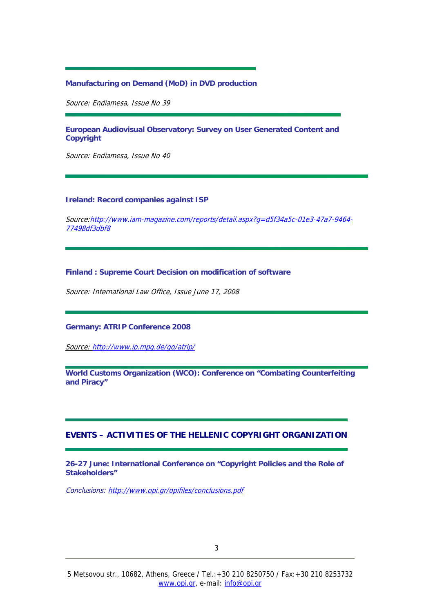# <span id="page-2-0"></span>**Manufacturing on Demand (MoD) in DVD production**

Source: Endiamesa, Issue No 39

**European Audiovisual Observatory: Survey on User Generated Content and Copyright** 

Source: Endiamesa, Issue No 40

### **Ireland: Record companies against ISP**

Source:[http://www.iam-magazine.com/reports/detail.aspx?g=d5f34a5c-01e3-47a7-9464-](http://www.iam-magazine.com/reports/detail.aspx?g=d5f34a5c-01e3-47a7-9464-77498df3dbf8) [77498df3dbf8](http://www.iam-magazine.com/reports/detail.aspx?g=d5f34a5c-01e3-47a7-9464-77498df3dbf8)

#### **Finland : Supreme Court Decision on modification of software**

Source: International Law Office, Issue June 17, 2008

#### **Germany: ATRIP Conference 2008**

Source: <http://www.ip.mpg.de/go/atrip/>

**World Customs Organization (WCO): Conference on "Combating Counterfeiting and Piracy"** 

# **EVENTS – ACTIVITIES OF THE HELLENIC COPYRIGHT ORGANIZATION**

**26-27 June: International Conference on "Copyright Policies and the Role of Stakeholders"** 

Conclusions: <http://www.opi.gr/opifiles/conclusions.pdf>